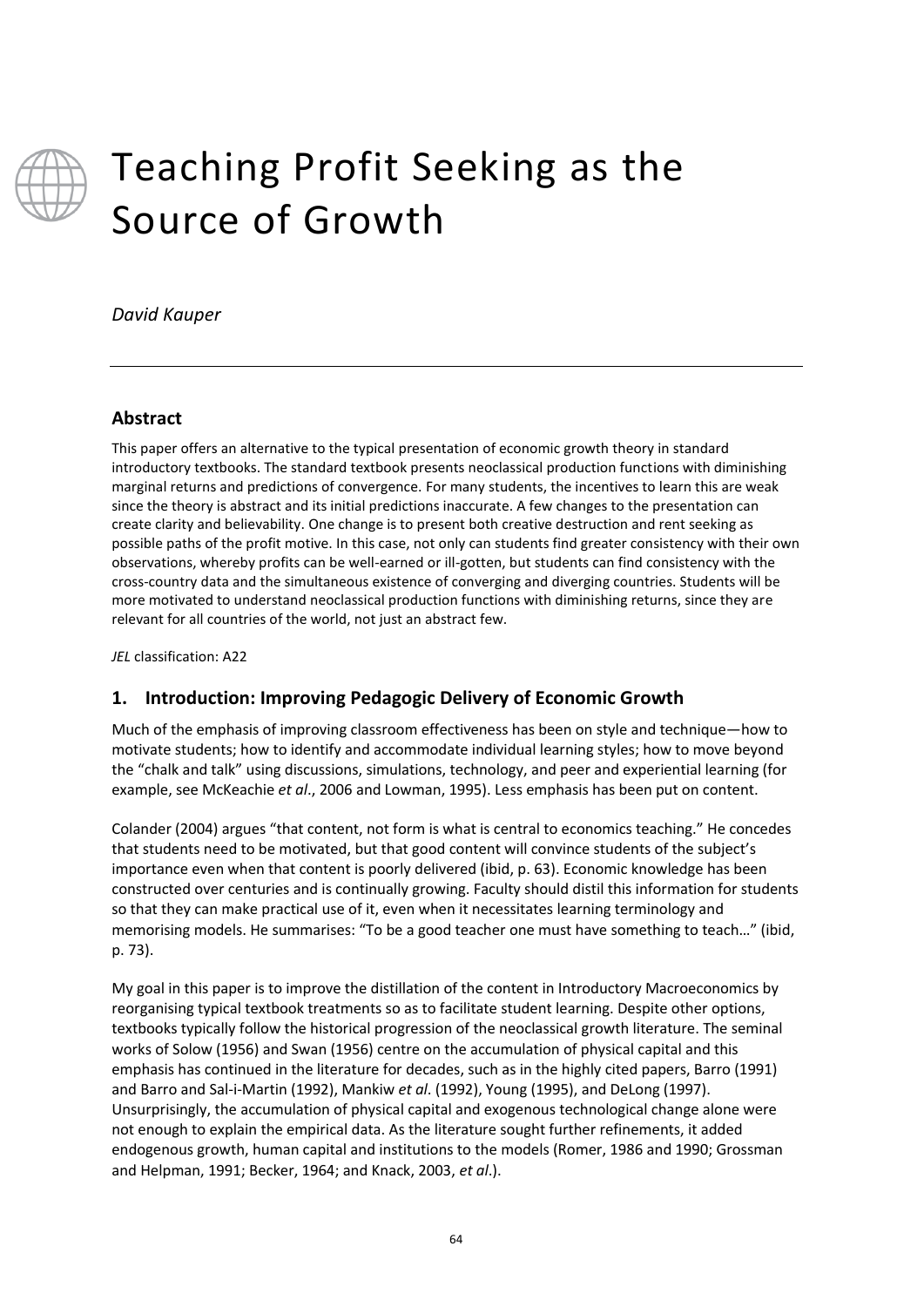

# Teaching Profit Seeking as the Source of Growth

*David Kauper*

## **Abstract**

This paper offers an alternative to the typical presentation of economic growth theory in standard introductory textbooks. The standard textbook presents neoclassical production functions with diminishing marginal returns and predictions of convergence. For many students, the incentives to learn this are weak since the theory is abstract and its initial predictions inaccurate. A few changes to the presentation can create clarity and believability. One change is to present both creative destruction and rent seeking as possible paths of the profit motive. In this case, not only can students find greater consistency with their own observations, whereby profits can be well-earned or ill-gotten, but students can find consistency with the cross-country data and the simultaneous existence of converging and diverging countries. Students will be more motivated to understand neoclassical production functions with diminishing returns, since they are relevant for all countries of the world, not just an abstract few.

*JEL* classification: A22

# **1. Introduction: Improving Pedagogic Delivery of Economic Growth**

Much of the emphasis of improving classroom effectiveness has been on style and technique—how to motivate students; how to identify and accommodate individual learning styles; how to move beyond the "chalk and talk" using discussions, simulations, technology, and peer and experiential learning (for example, see McKeachie *et al*., 2006 and Lowman, 1995). Less emphasis has been put on content.

Colander (2004) argues "that content, not form is what is central to economics teaching." He concedes that students need to be motivated, but that good content will convince students of the subject's importance even when that content is poorly delivered (ibid, p. 63). Economic knowledge has been constructed over centuries and is continually growing. Faculty should distil this information for students so that they can make practical use of it, even when it necessitates learning terminology and memorising models. He summarises: "To be a good teacher one must have something to teach…" (ibid, p. 73).

My goal in this paper is to improve the distillation of the content in Introductory Macroeconomics by reorganising typical textbook treatments so as to facilitate student learning. Despite other options, textbooks typically follow the historical progression of the neoclassical growth literature. The seminal works of Solow (1956) and Swan (1956) centre on the accumulation of physical capital and this emphasis has continued in the literature for decades, such as in the highly cited papers, Barro (1991) and Barro and Sal-i-Martin (1992), Mankiw *et al*. (1992), Young (1995), and DeLong (1997). Unsurprisingly, the accumulation of physical capital and exogenous technological change alone were not enough to explain the empirical data. As the literature sought further refinements, it added endogenous growth, human capital and institutions to the models (Romer, 1986 and 1990; Grossman and Helpman, 1991; Becker, 1964; and Knack, 2003, *et al*.).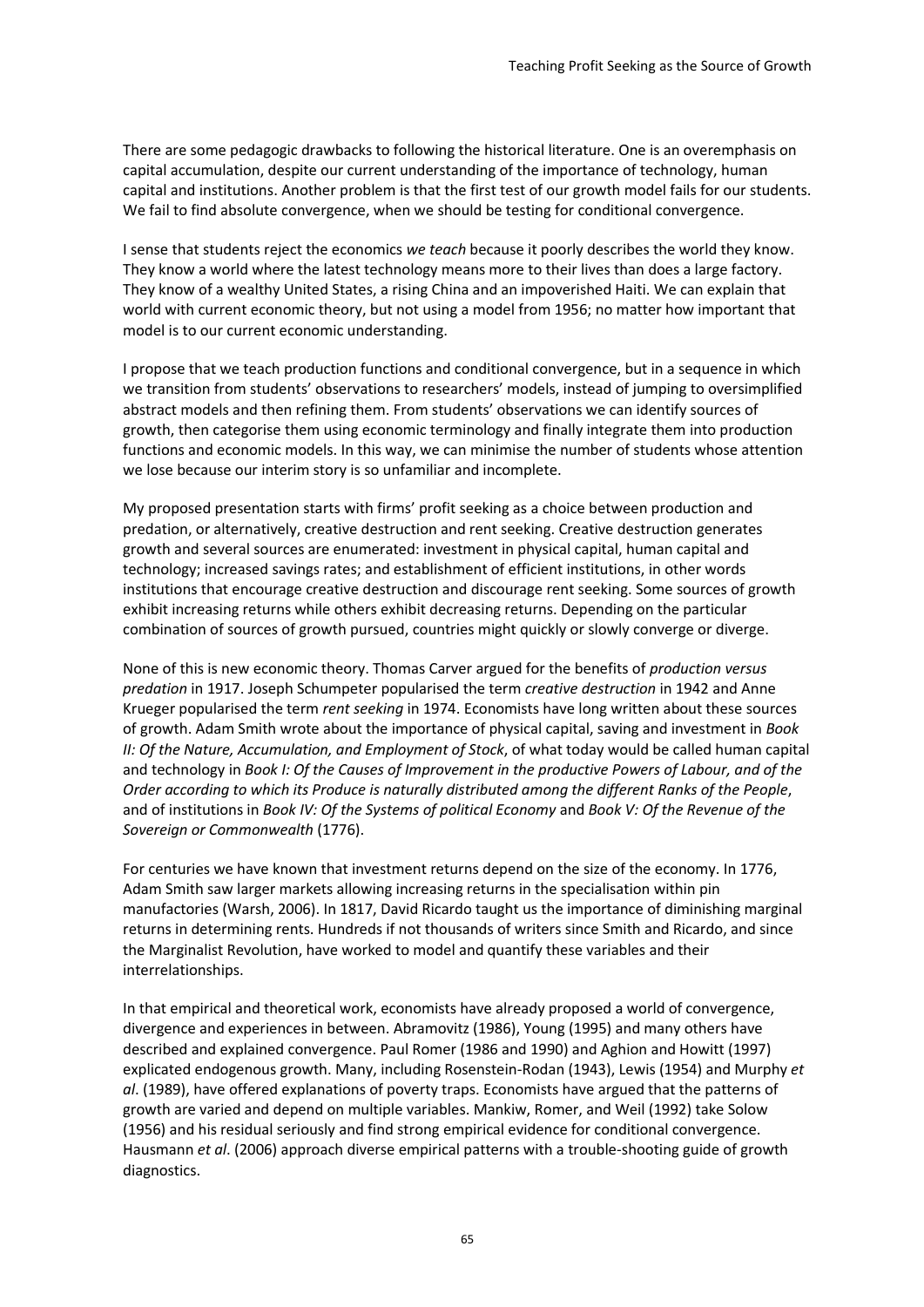There are some pedagogic drawbacks to following the historical literature. One is an overemphasis on capital accumulation, despite our current understanding of the importance of technology, human capital and institutions. Another problem is that the first test of our growth model fails for our students. We fail to find absolute convergence, when we should be testing for conditional convergence.

I sense that students reject the economics *we teach* because it poorly describes the world they know. They know a world where the latest technology means more to their lives than does a large factory. They know of a wealthy United States, a rising China and an impoverished Haiti. We can explain that world with current economic theory, but not using a model from 1956; no matter how important that model is to our current economic understanding.

I propose that we teach production functions and conditional convergence, but in a sequence in which we transition from students' observations to researchers' models, instead of jumping to oversimplified abstract models and then refining them. From students' observations we can identify sources of growth, then categorise them using economic terminology and finally integrate them into production functions and economic models. In this way, we can minimise the number of students whose attention we lose because our interim story is so unfamiliar and incomplete.

My proposed presentation starts with firms' profit seeking as a choice between production and predation, or alternatively, creative destruction and rent seeking. Creative destruction generates growth and several sources are enumerated: investment in physical capital, human capital and technology; increased savings rates; and establishment of efficient institutions, in other words institutions that encourage creative destruction and discourage rent seeking. Some sources of growth exhibit increasing returns while others exhibit decreasing returns. Depending on the particular combination of sources of growth pursued, countries might quickly or slowly converge or diverge.

None of this is new economic theory. Thomas Carver argued for the benefits of *production versus predation* in 1917. Joseph Schumpeter popularised the term *creative destruction* in 1942 and Anne Krueger popularised the term *rent seeking* in 1974. Economists have long written about these sources of growth. Adam Smith wrote about the importance of physical capital, saving and investment in *Book II: Of the Nature, Accumulation, and Employment of Stock*, of what today would be called human capital and technology in *Book I: Of the Causes of Improvement in the productive Powers of Labour, and of the Order according to which its Produce is naturally distributed among the different Ranks of the People*, and of institutions in *Book IV: Of the Systems of political Economy* and *Book V: Of the Revenue of the Sovereign or Commonwealth* (1776).

For centuries we have known that investment returns depend on the size of the economy. In 1776, Adam Smith saw larger markets allowing increasing returns in the specialisation within pin manufactories (Warsh, 2006). In 1817, David Ricardo taught us the importance of diminishing marginal returns in determining rents. Hundreds if not thousands of writers since Smith and Ricardo, and since the Marginalist Revolution, have worked to model and quantify these variables and their interrelationships.

In that empirical and theoretical work, economists have already proposed a world of convergence, divergence and experiences in between. Abramovitz (1986), Young (1995) and many others have described and explained convergence. Paul Romer (1986 and 1990) and Aghion and Howitt (1997) explicated endogenous growth. Many, including Rosenstein-Rodan (1943), Lewis (1954) and Murphy *et al*. (1989), have offered explanations of poverty traps. Economists have argued that the patterns of growth are varied and depend on multiple variables. Mankiw, Romer, and Weil (1992) take Solow (1956) and his residual seriously and find strong empirical evidence for conditional convergence. Hausmann *et al*. (2006) approach diverse empirical patterns with a trouble-shooting guide of growth diagnostics.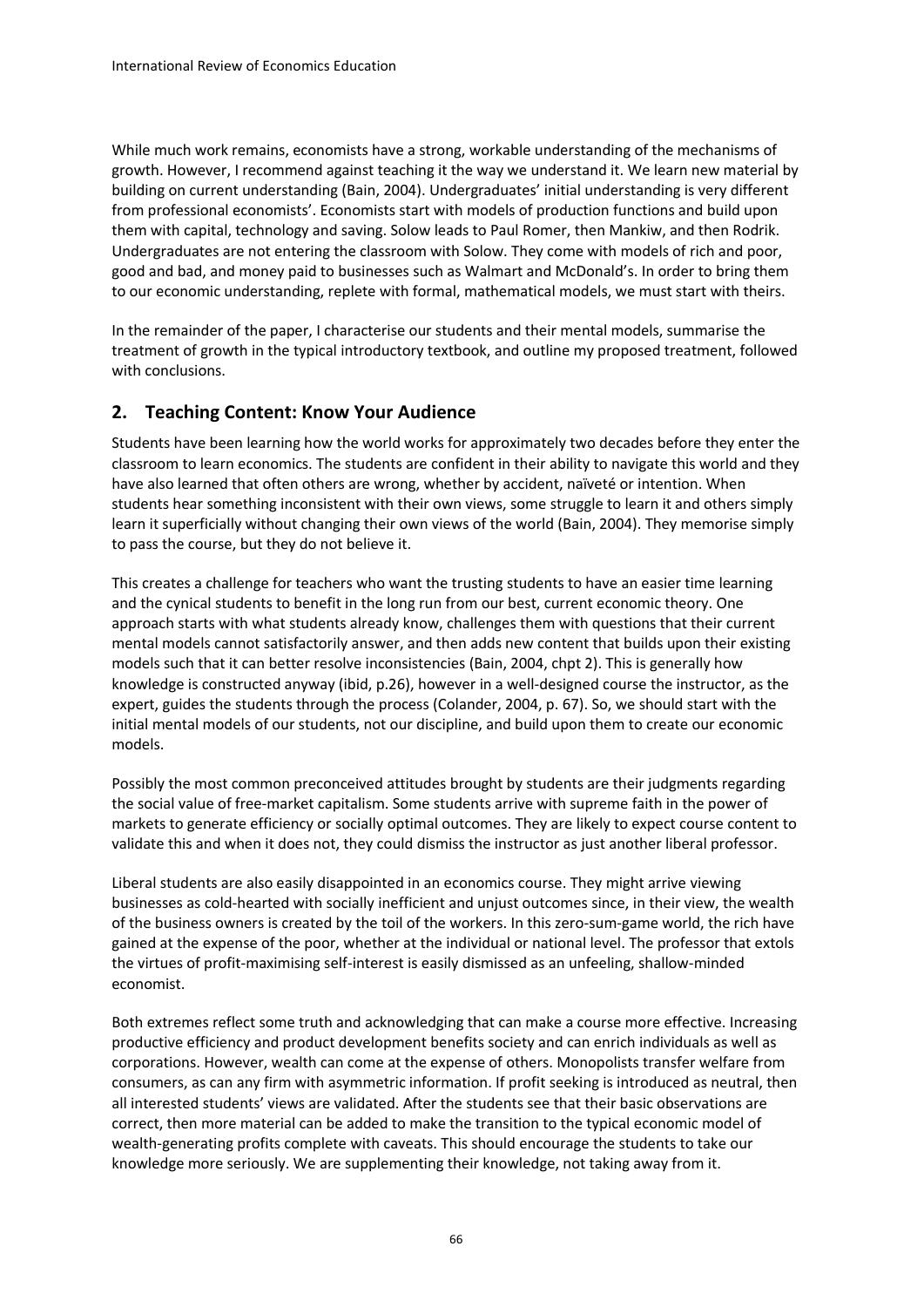While much work remains, economists have a strong, workable understanding of the mechanisms of growth. However, I recommend against teaching it the way we understand it. We learn new material by building on current understanding (Bain, 2004). Undergraduates' initial understanding is very different from professional economists'. Economists start with models of production functions and build upon them with capital, technology and saving. Solow leads to Paul Romer, then Mankiw, and then Rodrik. Undergraduates are not entering the classroom with Solow. They come with models of rich and poor, good and bad, and money paid to businesses such as Walmart and McDonald's. In order to bring them to our economic understanding, replete with formal, mathematical models, we must start with theirs.

In the remainder of the paper, I characterise our students and their mental models, summarise the treatment of growth in the typical introductory textbook, and outline my proposed treatment, followed with conclusions.

## **2. Teaching Content: Know Your Audience**

Students have been learning how the world works for approximately two decades before they enter the classroom to learn economics. The students are confident in their ability to navigate this world and they have also learned that often others are wrong, whether by accident, naïveté or intention. When students hear something inconsistent with their own views, some struggle to learn it and others simply learn it superficially without changing their own views of the world (Bain, 2004). They memorise simply to pass the course, but they do not believe it.

This creates a challenge for teachers who want the trusting students to have an easier time learning and the cynical students to benefit in the long run from our best, current economic theory. One approach starts with what students already know, challenges them with questions that their current mental models cannot satisfactorily answer, and then adds new content that builds upon their existing models such that it can better resolve inconsistencies (Bain, 2004, chpt 2). This is generally how knowledge is constructed anyway (ibid, p.26), however in a well-designed course the instructor, as the expert, guides the students through the process (Colander, 2004, p. 67). So, we should start with the initial mental models of our students, not our discipline, and build upon them to create our economic models.

Possibly the most common preconceived attitudes brought by students are their judgments regarding the social value of free-market capitalism. Some students arrive with supreme faith in the power of markets to generate efficiency or socially optimal outcomes. They are likely to expect course content to validate this and when it does not, they could dismiss the instructor as just another liberal professor.

Liberal students are also easily disappointed in an economics course. They might arrive viewing businesses as cold-hearted with socially inefficient and unjust outcomes since, in their view, the wealth of the business owners is created by the toil of the workers. In this zero-sum-game world, the rich have gained at the expense of the poor, whether at the individual or national level. The professor that extols the virtues of profit-maximising self-interest is easily dismissed as an unfeeling, shallow-minded economist.

Both extremes reflect some truth and acknowledging that can make a course more effective. Increasing productive efficiency and product development benefits society and can enrich individuals as well as corporations. However, wealth can come at the expense of others. Monopolists transfer welfare from consumers, as can any firm with asymmetric information. If profit seeking is introduced as neutral, then all interested students' views are validated. After the students see that their basic observations are correct, then more material can be added to make the transition to the typical economic model of wealth-generating profits complete with caveats. This should encourage the students to take our knowledge more seriously. We are supplementing their knowledge, not taking away from it.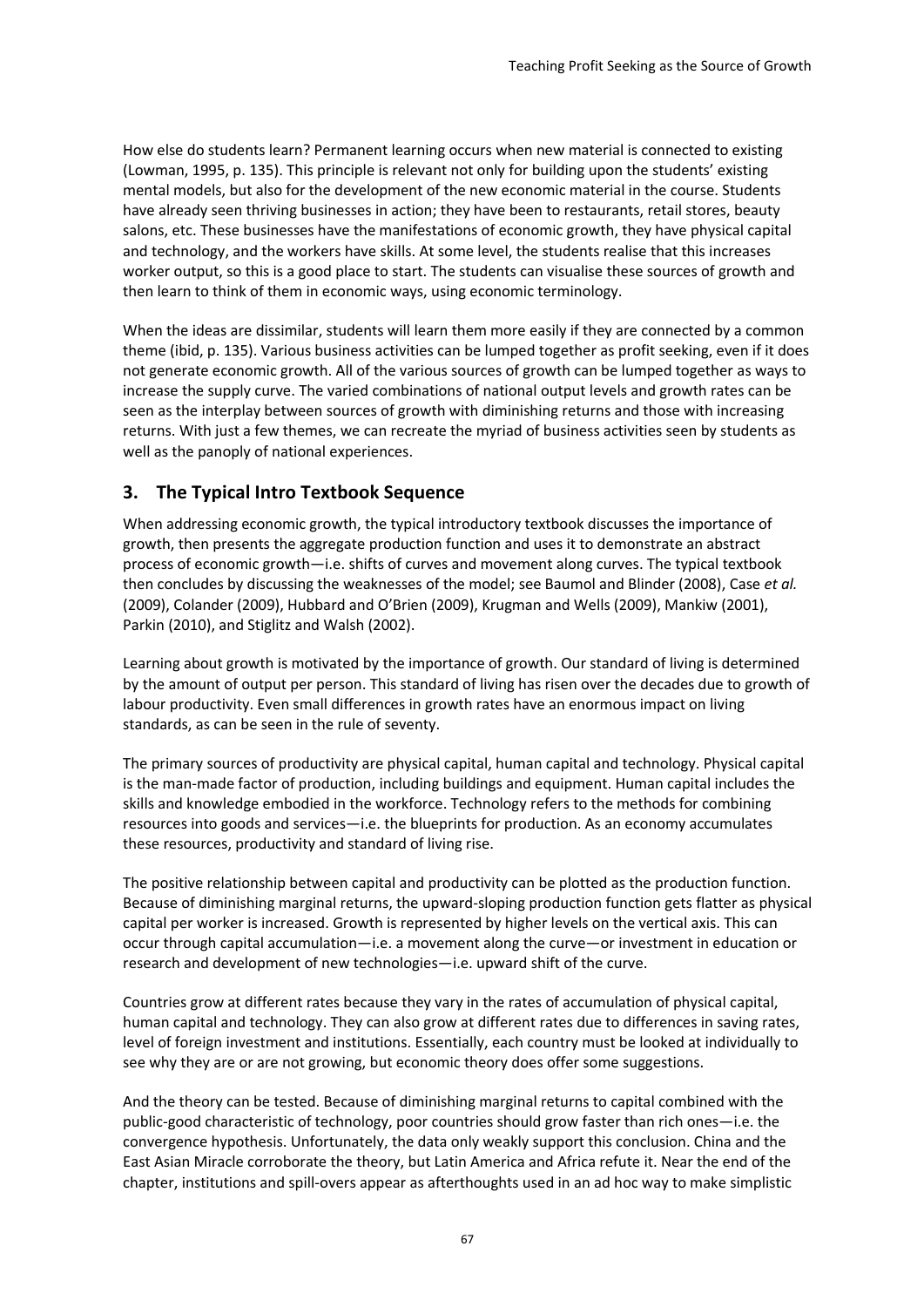How else do students learn? Permanent learning occurs when new material is connected to existing (Lowman, 1995, p. 135). This principle is relevant not only for building upon the students' existing mental models, but also for the development of the new economic material in the course. Students have already seen thriving businesses in action; they have been to restaurants, retail stores, beauty salons, etc. These businesses have the manifestations of economic growth, they have physical capital and technology, and the workers have skills. At some level, the students realise that this increases worker output, so this is a good place to start. The students can visualise these sources of growth and then learn to think of them in economic ways, using economic terminology.

When the ideas are dissimilar, students will learn them more easily if they are connected by a common theme (ibid, p. 135). Various business activities can be lumped together as profit seeking, even if it does not generate economic growth. All of the various sources of growth can be lumped together as ways to increase the supply curve. The varied combinations of national output levels and growth rates can be seen as the interplay between sources of growth with diminishing returns and those with increasing returns. With just a few themes, we can recreate the myriad of business activities seen by students as well as the panoply of national experiences.

# **3. The Typical Intro Textbook Sequence**

When addressing economic growth, the typical introductory textbook discusses the importance of growth, then presents the aggregate production function and uses it to demonstrate an abstract process of economic growth—i.e. shifts of curves and movement along curves. The typical textbook then concludes by discussing the weaknesses of the model; see Baumol and Blinder (2008), Case *et al.* (2009), Colander (2009), Hubbard and O'Brien (2009), Krugman and Wells (2009), Mankiw (2001), Parkin (2010), and Stiglitz and Walsh (2002).

Learning about growth is motivated by the importance of growth. Our standard of living is determined by the amount of output per person. This standard of living has risen over the decades due to growth of labour productivity. Even small differences in growth rates have an enormous impact on living standards, as can be seen in the rule of seventy.

The primary sources of productivity are physical capital, human capital and technology. Physical capital is the man-made factor of production, including buildings and equipment. Human capital includes the skills and knowledge embodied in the workforce. Technology refers to the methods for combining resources into goods and services—i.e. the blueprints for production. As an economy accumulates these resources, productivity and standard of living rise.

The positive relationship between capital and productivity can be plotted as the production function. Because of diminishing marginal returns, the upward-sloping production function gets flatter as physical capital per worker is increased. Growth is represented by higher levels on the vertical axis. This can occur through capital accumulation—i.e. a movement along the curve—or investment in education or research and development of new technologies—i.e. upward shift of the curve.

Countries grow at different rates because they vary in the rates of accumulation of physical capital, human capital and technology. They can also grow at different rates due to differences in saving rates, level of foreign investment and institutions. Essentially, each country must be looked at individually to see why they are or are not growing, but economic theory does offer some suggestions.

And the theory can be tested. Because of diminishing marginal returns to capital combined with the public-good characteristic of technology, poor countries should grow faster than rich ones—i.e. the convergence hypothesis. Unfortunately, the data only weakly support this conclusion. China and the East Asian Miracle corroborate the theory, but Latin America and Africa refute it. Near the end of the chapter, institutions and spill-overs appear as afterthoughts used in an ad hoc way to make simplistic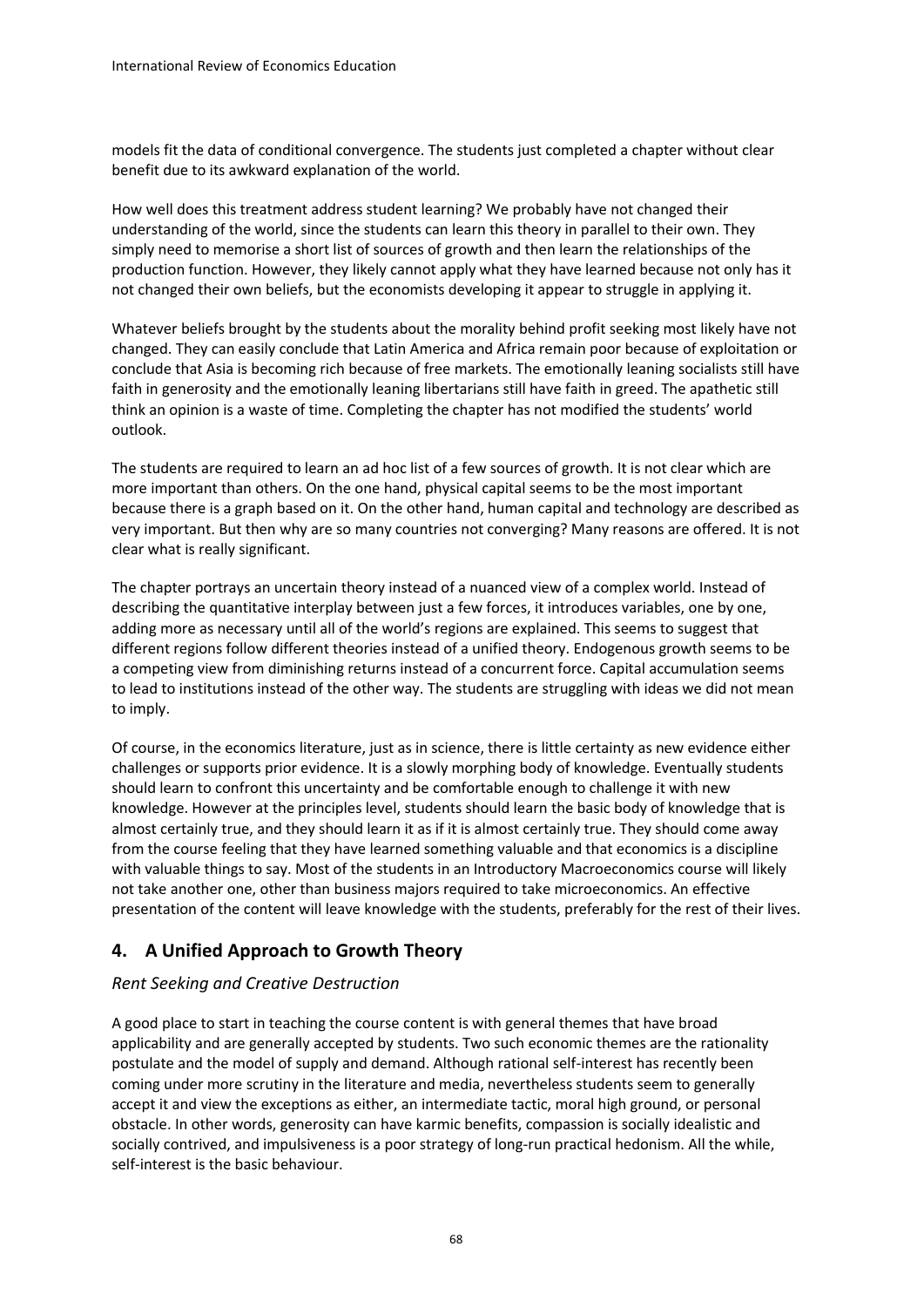models fit the data of conditional convergence. The students just completed a chapter without clear benefit due to its awkward explanation of the world.

How well does this treatment address student learning? We probably have not changed their understanding of the world, since the students can learn this theory in parallel to their own. They simply need to memorise a short list of sources of growth and then learn the relationships of the production function. However, they likely cannot apply what they have learned because not only has it not changed their own beliefs, but the economists developing it appear to struggle in applying it.

Whatever beliefs brought by the students about the morality behind profit seeking most likely have not changed. They can easily conclude that Latin America and Africa remain poor because of exploitation or conclude that Asia is becoming rich because of free markets. The emotionally leaning socialists still have faith in generosity and the emotionally leaning libertarians still have faith in greed. The apathetic still think an opinion is a waste of time. Completing the chapter has not modified the students' world outlook.

The students are required to learn an ad hoc list of a few sources of growth. It is not clear which are more important than others. On the one hand, physical capital seems to be the most important because there is a graph based on it. On the other hand, human capital and technology are described as very important. But then why are so many countries not converging? Many reasons are offered. It is not clear what is really significant.

The chapter portrays an uncertain theory instead of a nuanced view of a complex world. Instead of describing the quantitative interplay between just a few forces, it introduces variables, one by one, adding more as necessary until all of the world's regions are explained. This seems to suggest that different regions follow different theories instead of a unified theory. Endogenous growth seems to be a competing view from diminishing returns instead of a concurrent force. Capital accumulation seems to lead to institutions instead of the other way. The students are struggling with ideas we did not mean to imply.

Of course, in the economics literature, just as in science, there is little certainty as new evidence either challenges or supports prior evidence. It is a slowly morphing body of knowledge. Eventually students should learn to confront this uncertainty and be comfortable enough to challenge it with new knowledge. However at the principles level, students should learn the basic body of knowledge that is almost certainly true, and they should learn it as if it is almost certainly true. They should come away from the course feeling that they have learned something valuable and that economics is a discipline with valuable things to say. Most of the students in an Introductory Macroeconomics course will likely not take another one, other than business majors required to take microeconomics. An effective presentation of the content will leave knowledge with the students, preferably for the rest of their lives.

# **4. A Unified Approach to Growth Theory**

## *Rent Seeking and Creative Destruction*

A good place to start in teaching the course content is with general themes that have broad applicability and are generally accepted by students. Two such economic themes are the rationality postulate and the model of supply and demand. Although rational self-interest has recently been coming under more scrutiny in the literature and media, nevertheless students seem to generally accept it and view the exceptions as either, an intermediate tactic, moral high ground, or personal obstacle. In other words, generosity can have karmic benefits, compassion is socially idealistic and socially contrived, and impulsiveness is a poor strategy of long-run practical hedonism. All the while, self-interest is the basic behaviour.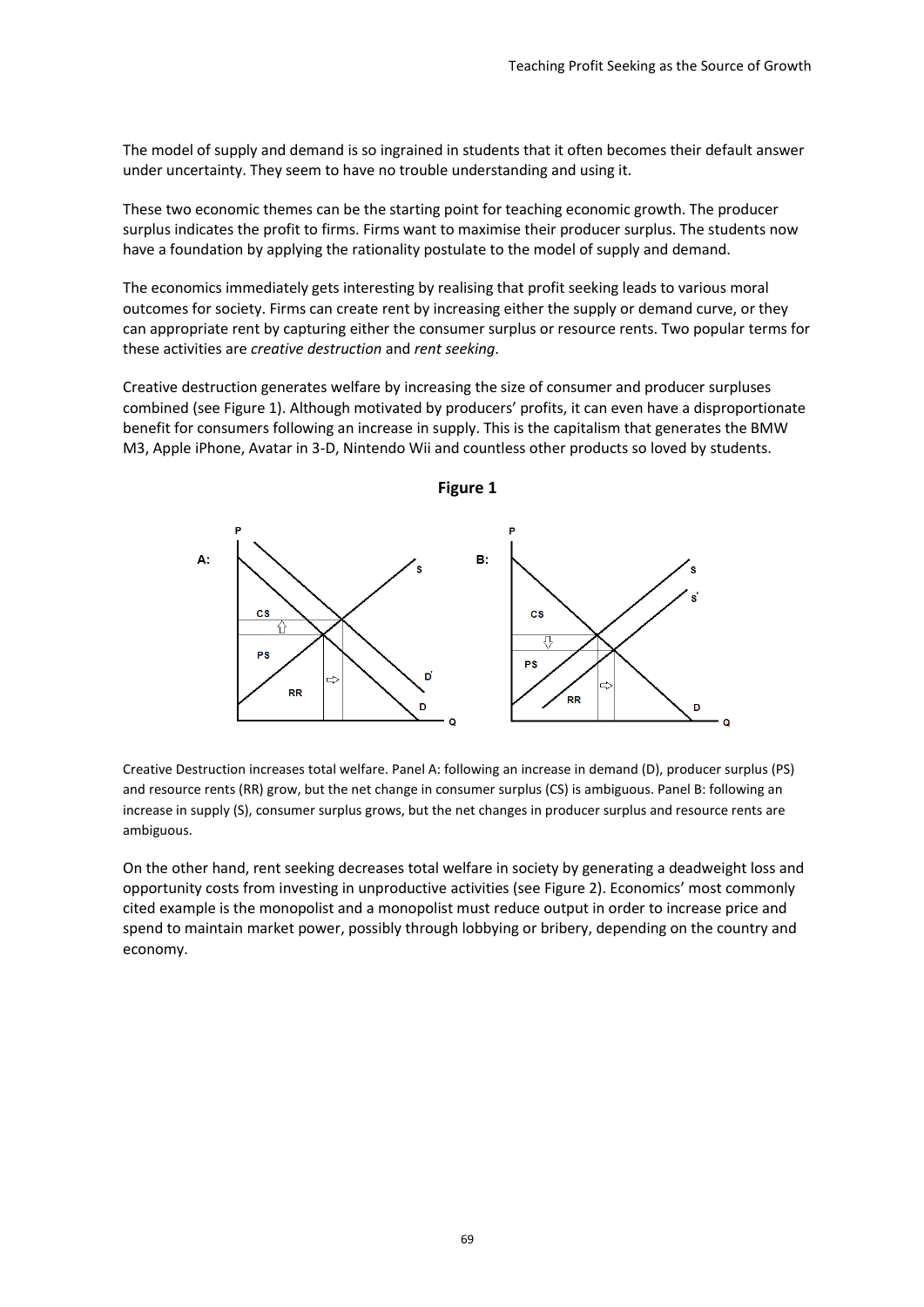The model of supply and demand is so ingrained in students that it often becomes their default answer under uncertainty. They seem to have no trouble understanding and using it.

These two economic themes can be the starting point for teaching economic growth. The producer surplus indicates the profit to firms. Firms want to maximise their producer surplus. The students now have a foundation by applying the rationality postulate to the model of supply and demand.

The economics immediately gets interesting by realising that profit seeking leads to various moral outcomes for society. Firms can create rent by increasing either the supply or demand curve, or they can appropriate rent by capturing either the consumer surplus or resource rents. Two popular terms for these activities are *creative destruction* and *rent seeking*.

Creative destruction generates welfare by increasing the size of consumer and producer surpluses combined (see Figure 1). Although motivated by producers' profits, it can even have a disproportionate benefit for consumers following an increase in supply. This is the capitalism that generates the BMW M3, Apple iPhone, Avatar in 3-D, Nintendo Wii and countless other products so loved by students.



Creative Destruction increases total welfare. Panel A: following an increase in demand (D), producer surplus (PS) and resource rents (RR) grow, but the net change in consumer surplus (CS) is ambiguous. Panel B: following an increase in supply (S), consumer surplus grows, but the net changes in producer surplus and resource rents are ambiguous.

On the other hand, rent seeking decreases total welfare in society by generating a deadweight loss and opportunity costs from investing in unproductive activities (see Figure 2). Economics' most commonly cited example is the monopolist and a monopolist must reduce output in order to increase price and spend to maintain market power, possibly through lobbying or bribery, depending on the country and economy.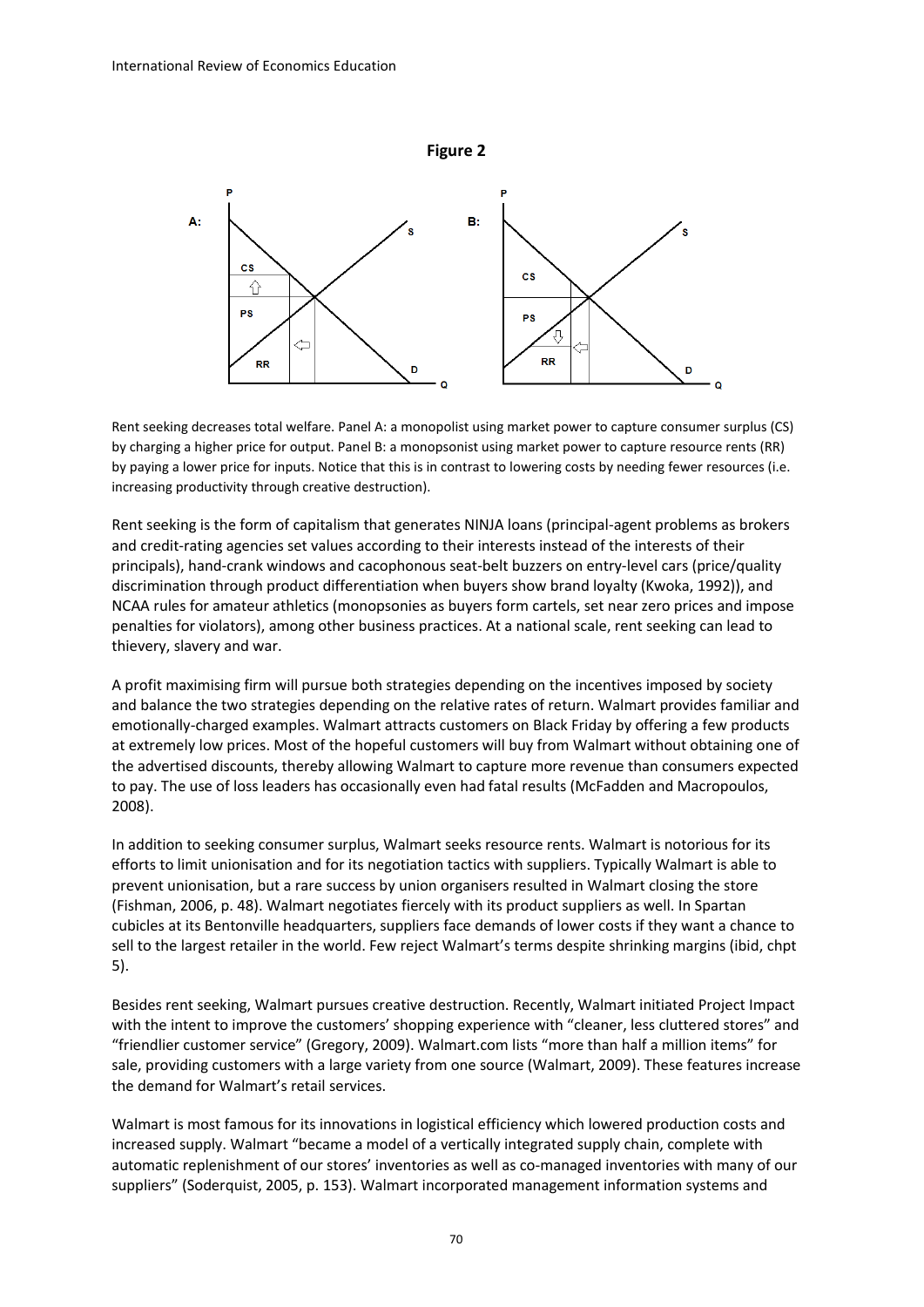

Rent seeking decreases total welfare. Panel A: a monopolist using market power to capture consumer surplus (CS) by charging a higher price for output. Panel B: a monopsonist using market power to capture resource rents (RR) by paying a lower price for inputs. Notice that this is in contrast to lowering costs by needing fewer resources (i.e. increasing productivity through creative destruction).

Rent seeking is the form of capitalism that generates NINJA loans (principal-agent problems as brokers and credit-rating agencies set values according to their interests instead of the interests of their principals), hand-crank windows and cacophonous seat-belt buzzers on entry-level cars (price/quality discrimination through product differentiation when buyers show brand loyalty (Kwoka, 1992)), and NCAA rules for amateur athletics (monopsonies as buyers form cartels, set near zero prices and impose penalties for violators), among other business practices. At a national scale, rent seeking can lead to thievery, slavery and war.

A profit maximising firm will pursue both strategies depending on the incentives imposed by society and balance the two strategies depending on the relative rates of return. Walmart provides familiar and emotionally-charged examples. Walmart attracts customers on Black Friday by offering a few products at extremely low prices. Most of the hopeful customers will buy from Walmart without obtaining one of the advertised discounts, thereby allowing Walmart to capture more revenue than consumers expected to pay. The use of loss leaders has occasionally even had fatal results (McFadden and Macropoulos, 2008).

In addition to seeking consumer surplus, Walmart seeks resource rents. Walmart is notorious for its efforts to limit unionisation and for its negotiation tactics with suppliers. Typically Walmart is able to prevent unionisation, but a rare success by union organisers resulted in Walmart closing the store (Fishman, 2006, p. 48). Walmart negotiates fiercely with its product suppliers as well. In Spartan cubicles at its Bentonville headquarters, suppliers face demands of lower costs if they want a chance to sell to the largest retailer in the world. Few reject Walmart's terms despite shrinking margins (ibid, chpt 5).

Besides rent seeking, Walmart pursues creative destruction. Recently, Walmart initiated Project Impact with the intent to improve the customers' shopping experience with "cleaner, less cluttered stores" and "friendlier customer service" (Gregory, 2009). Walmart.com lists "more than half a million items" for sale, providing customers with a large variety from one source (Walmart, 2009). These features increase the demand for Walmart's retail services.

Walmart is most famous for its innovations in logistical efficiency which lowered production costs and increased supply. Walmart "became a model of a vertically integrated supply chain, complete with automatic replenishment of our stores' inventories as well as co-managed inventories with many of our suppliers" (Soderquist, 2005, p. 153). Walmart incorporated management information systems and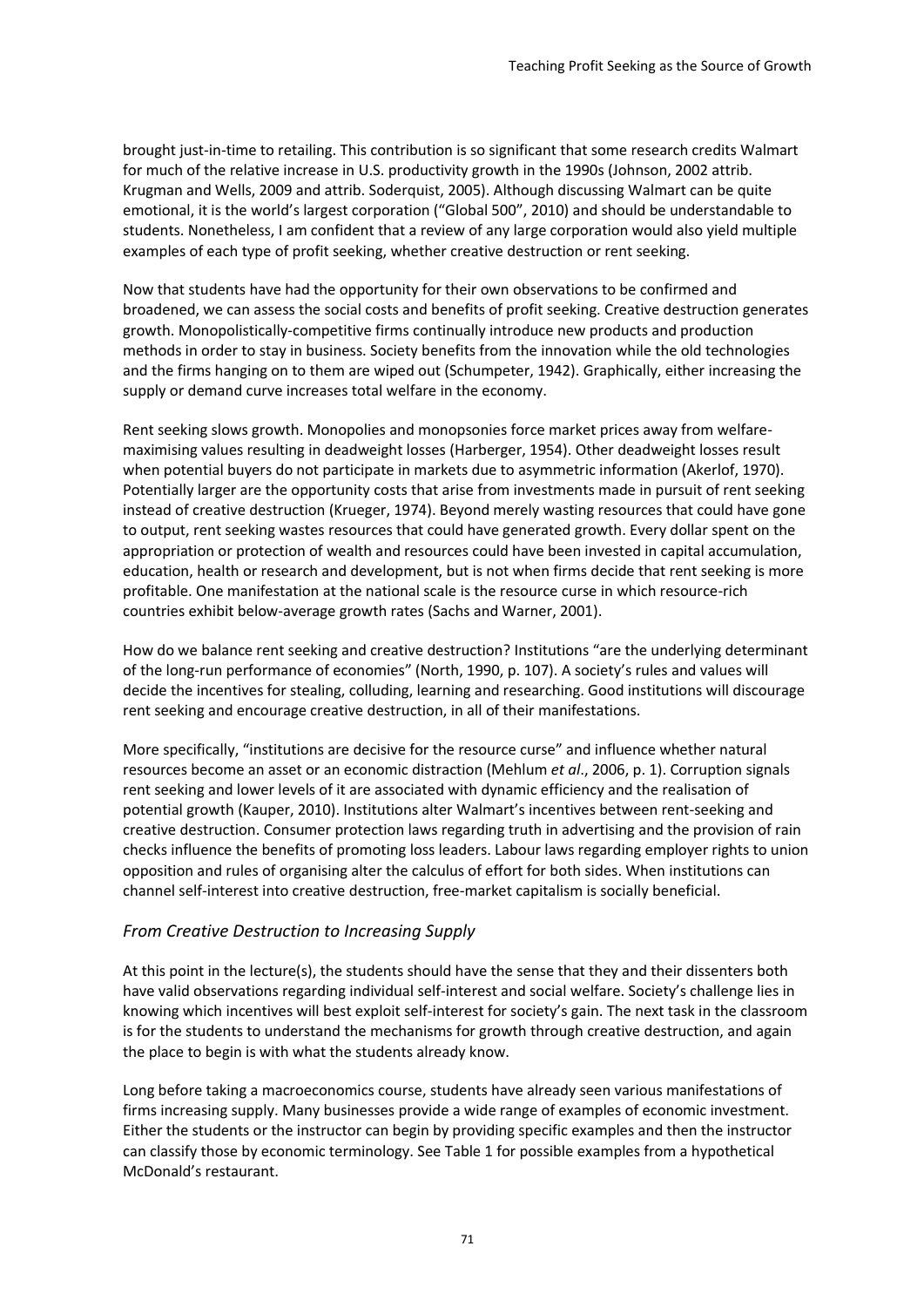brought just-in-time to retailing. This contribution is so significant that some research credits Walmart for much of the relative increase in U.S. productivity growth in the 1990s (Johnson, 2002 attrib. Krugman and Wells, 2009 and attrib. Soderquist, 2005). Although discussing Walmart can be quite emotional, it is the world's largest corporation ("Global 500", 2010) and should be understandable to students. Nonetheless, I am confident that a review of any large corporation would also yield multiple examples of each type of profit seeking, whether creative destruction or rent seeking.

Now that students have had the opportunity for their own observations to be confirmed and broadened, we can assess the social costs and benefits of profit seeking. Creative destruction generates growth. Monopolistically-competitive firms continually introduce new products and production methods in order to stay in business. Society benefits from the innovation while the old technologies and the firms hanging on to them are wiped out (Schumpeter, 1942). Graphically, either increasing the supply or demand curve increases total welfare in the economy.

Rent seeking slows growth. Monopolies and monopsonies force market prices away from welfaremaximising values resulting in deadweight losses (Harberger, 1954). Other deadweight losses result when potential buyers do not participate in markets due to asymmetric information (Akerlof, 1970). Potentially larger are the opportunity costs that arise from investments made in pursuit of rent seeking instead of creative destruction (Krueger, 1974). Beyond merely wasting resources that could have gone to output, rent seeking wastes resources that could have generated growth. Every dollar spent on the appropriation or protection of wealth and resources could have been invested in capital accumulation, education, health or research and development, but is not when firms decide that rent seeking is more profitable. One manifestation at the national scale is the resource curse in which resource-rich countries exhibit below-average growth rates (Sachs and Warner, 2001).

How do we balance rent seeking and creative destruction? Institutions "are the underlying determinant of the long-run performance of economies" (North, 1990, p. 107). A society's rules and values will decide the incentives for stealing, colluding, learning and researching. Good institutions will discourage rent seeking and encourage creative destruction, in all of their manifestations.

More specifically, "institutions are decisive for the resource curse" and influence whether natural resources become an asset or an economic distraction (Mehlum *et al*., 2006, p. 1). Corruption signals rent seeking and lower levels of it are associated with dynamic efficiency and the realisation of potential growth (Kauper, 2010). Institutions alter Walmart's incentives between rent-seeking and creative destruction. Consumer protection laws regarding truth in advertising and the provision of rain checks influence the benefits of promoting loss leaders. Labour laws regarding employer rights to union opposition and rules of organising alter the calculus of effort for both sides. When institutions can channel self-interest into creative destruction, free-market capitalism is socially beneficial.

#### *From Creative Destruction to Increasing Supply*

At this point in the lecture(s), the students should have the sense that they and their dissenters both have valid observations regarding individual self-interest and social welfare. Society's challenge lies in knowing which incentives will best exploit self-interest for society's gain. The next task in the classroom is for the students to understand the mechanisms for growth through creative destruction, and again the place to begin is with what the students already know.

Long before taking a macroeconomics course, students have already seen various manifestations of firms increasing supply. Many businesses provide a wide range of examples of economic investment. Either the students or the instructor can begin by providing specific examples and then the instructor can classify those by economic terminology. See Table 1 for possible examples from a hypothetical McDonald's restaurant.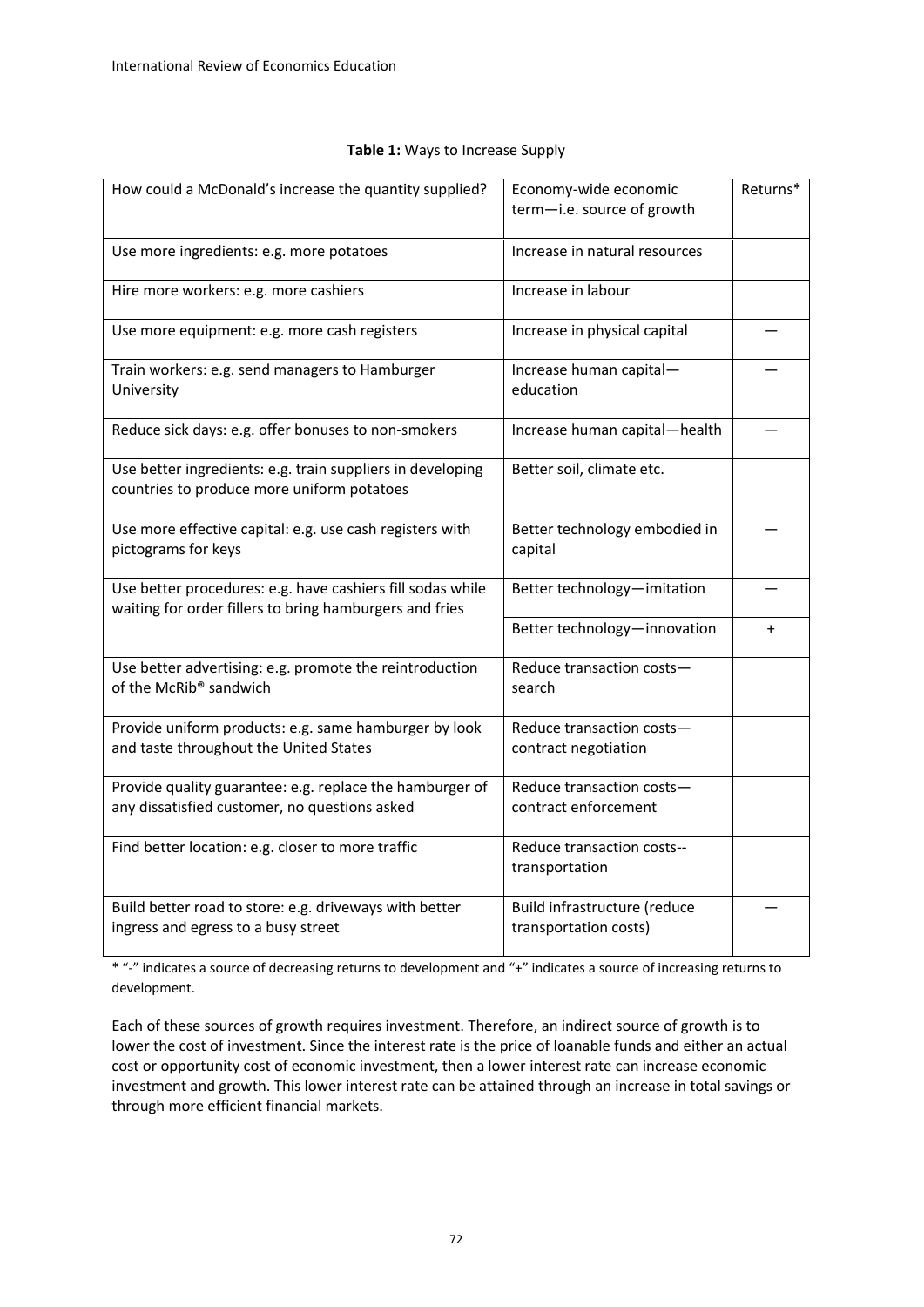| How could a McDonald's increase the quantity supplied?                                                                | Economy-wide economic<br>term-i.e. source of growth   | Returns*  |
|-----------------------------------------------------------------------------------------------------------------------|-------------------------------------------------------|-----------|
| Use more ingredients: e.g. more potatoes                                                                              | Increase in natural resources                         |           |
| Hire more workers: e.g. more cashiers                                                                                 | Increase in labour                                    |           |
| Use more equipment: e.g. more cash registers                                                                          | Increase in physical capital                          |           |
| Train workers: e.g. send managers to Hamburger<br>University                                                          | Increase human capital-<br>education                  |           |
| Reduce sick days: e.g. offer bonuses to non-smokers                                                                   | Increase human capital-health                         |           |
| Use better ingredients: e.g. train suppliers in developing<br>countries to produce more uniform potatoes              | Better soil, climate etc.                             |           |
| Use more effective capital: e.g. use cash registers with<br>pictograms for keys                                       | Better technology embodied in<br>capital              |           |
| Use better procedures: e.g. have cashiers fill sodas while<br>waiting for order fillers to bring hamburgers and fries | Better technology-imitation                           |           |
|                                                                                                                       | Better technology-innovation                          | $\ddot{}$ |
| Use better advertising: e.g. promote the reintroduction<br>of the McRib® sandwich                                     | Reduce transaction costs-<br>search                   |           |
| Provide uniform products: e.g. same hamburger by look<br>and taste throughout the United States                       | Reduce transaction costs-<br>contract negotiation     |           |
| Provide quality guarantee: e.g. replace the hamburger of<br>any dissatisfied customer, no questions asked             | Reduce transaction costs-<br>contract enforcement     |           |
| Find better location: e.g. closer to more traffic                                                                     | Reduce transaction costs--<br>transportation          |           |
| Build better road to store: e.g. driveways with better<br>ingress and egress to a busy street                         | Build infrastructure (reduce<br>transportation costs) |           |

#### **Table 1:** Ways to Increase Supply

\* "-" indicates a source of decreasing returns to development and "+" indicates a source of increasing returns to development.

Each of these sources of growth requires investment. Therefore, an indirect source of growth is to lower the cost of investment. Since the interest rate is the price of loanable funds and either an actual cost or opportunity cost of economic investment, then a lower interest rate can increase economic investment and growth. This lower interest rate can be attained through an increase in total savings or through more efficient financial markets.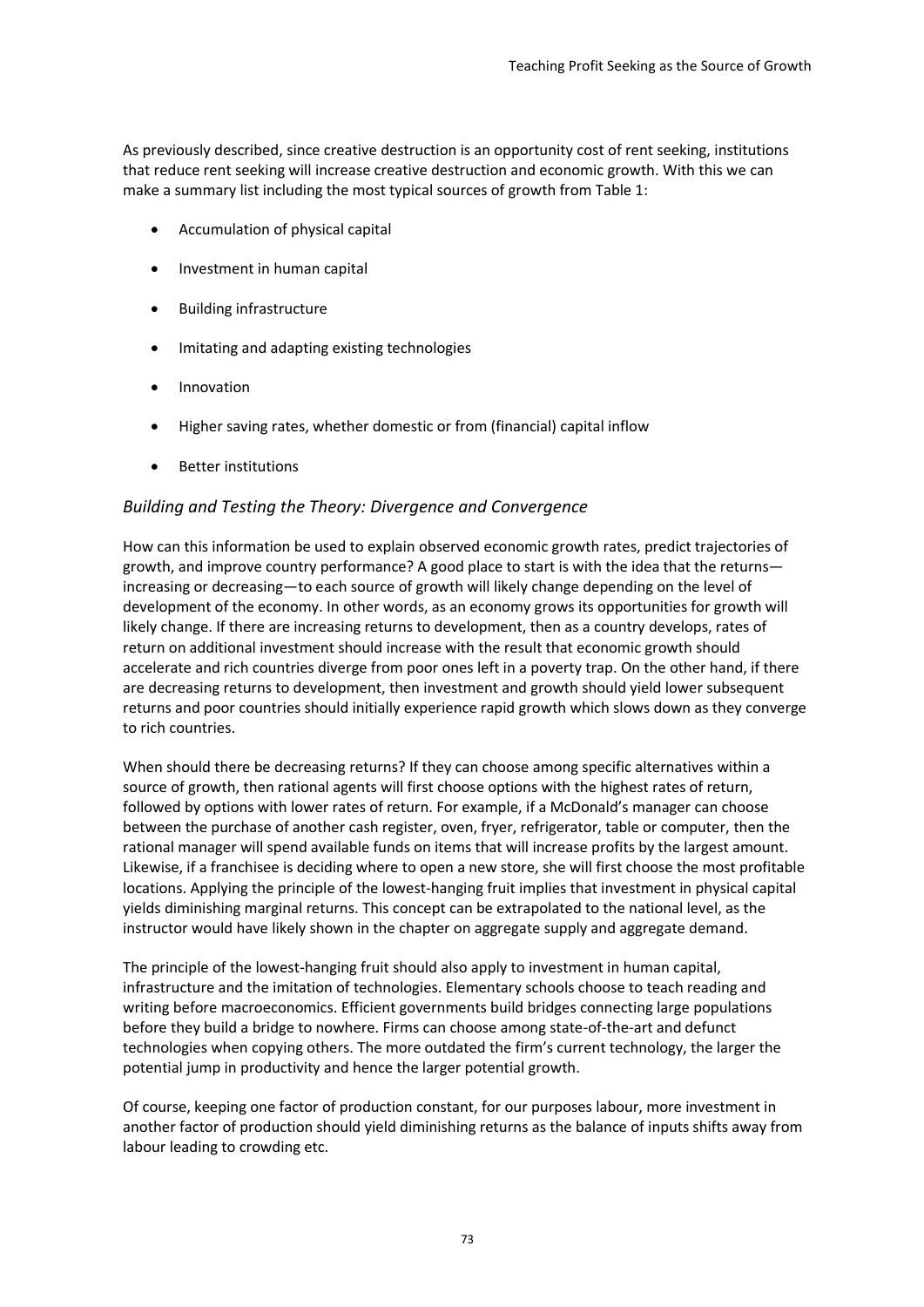As previously described, since creative destruction is an opportunity cost of rent seeking, institutions that reduce rent seeking will increase creative destruction and economic growth. With this we can make a summary list including the most typical sources of growth from Table 1:

- Accumulation of physical capital
- Investment in human capital
- Building infrastructure
- Imitating and adapting existing technologies
- Innovation
- Higher saving rates, whether domestic or from (financial) capital inflow
- Better institutions

#### *Building and Testing the Theory: Divergence and Convergence*

How can this information be used to explain observed economic growth rates, predict trajectories of growth, and improve country performance? A good place to start is with the idea that the returns increasing or decreasing—to each source of growth will likely change depending on the level of development of the economy. In other words, as an economy grows its opportunities for growth will likely change. If there are increasing returns to development, then as a country develops, rates of return on additional investment should increase with the result that economic growth should accelerate and rich countries diverge from poor ones left in a poverty trap. On the other hand, if there are decreasing returns to development, then investment and growth should yield lower subsequent returns and poor countries should initially experience rapid growth which slows down as they converge to rich countries.

When should there be decreasing returns? If they can choose among specific alternatives within a source of growth, then rational agents will first choose options with the highest rates of return, followed by options with lower rates of return. For example, if a McDonald's manager can choose between the purchase of another cash register, oven, fryer, refrigerator, table or computer, then the rational manager will spend available funds on items that will increase profits by the largest amount. Likewise, if a franchisee is deciding where to open a new store, she will first choose the most profitable locations. Applying the principle of the lowest-hanging fruit implies that investment in physical capital yields diminishing marginal returns. This concept can be extrapolated to the national level, as the instructor would have likely shown in the chapter on aggregate supply and aggregate demand.

The principle of the lowest-hanging fruit should also apply to investment in human capital, infrastructure and the imitation of technologies. Elementary schools choose to teach reading and writing before macroeconomics. Efficient governments build bridges connecting large populations before they build a bridge to nowhere. Firms can choose among state-of-the-art and defunct technologies when copying others. The more outdated the firm's current technology, the larger the potential jump in productivity and hence the larger potential growth.

Of course, keeping one factor of production constant, for our purposes labour, more investment in another factor of production should yield diminishing returns as the balance of inputs shifts away from labour leading to crowding etc.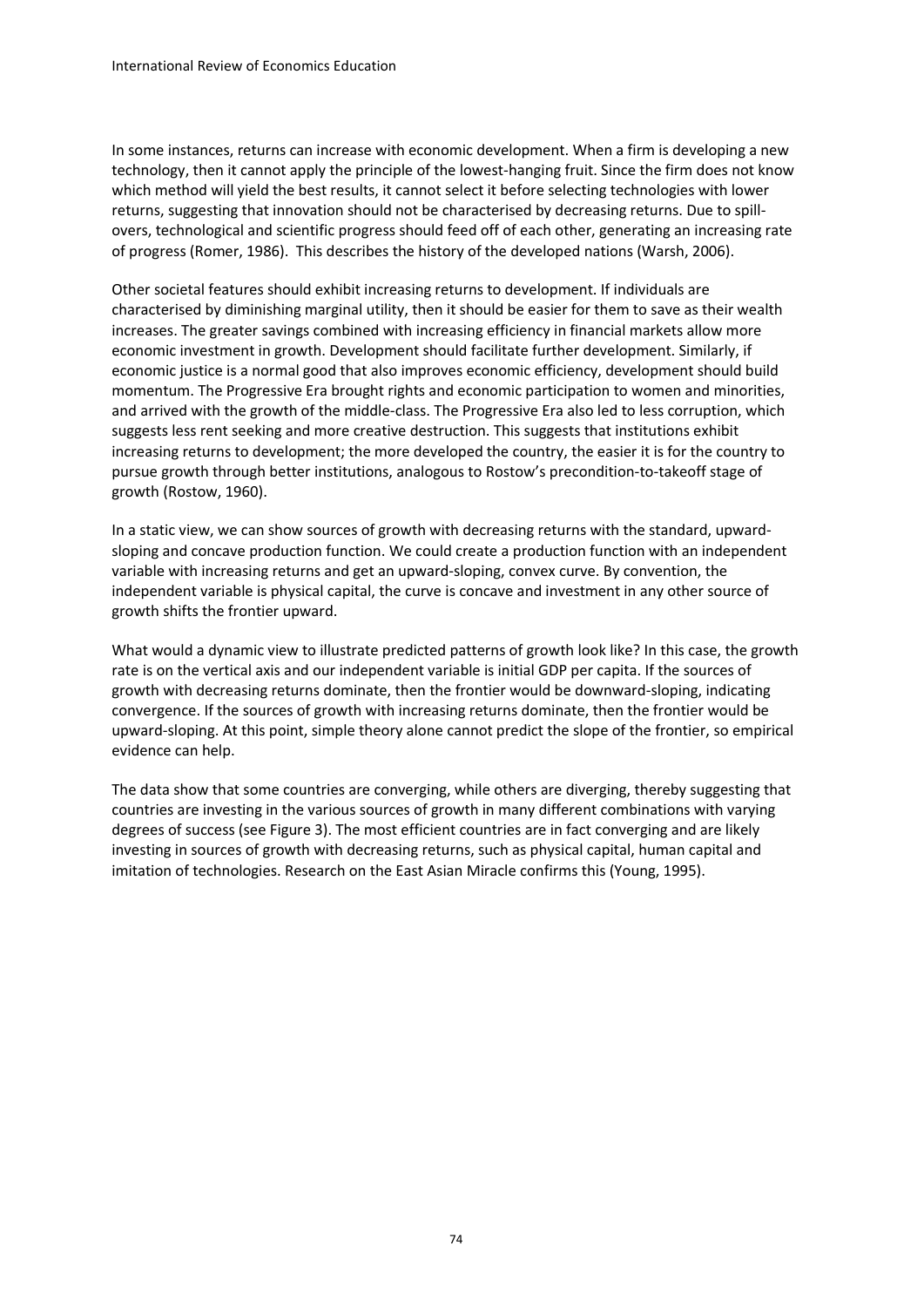In some instances, returns can increase with economic development. When a firm is developing a new technology, then it cannot apply the principle of the lowest-hanging fruit. Since the firm does not know which method will yield the best results, it cannot select it before selecting technologies with lower returns, suggesting that innovation should not be characterised by decreasing returns. Due to spillovers, technological and scientific progress should feed off of each other, generating an increasing rate of progress (Romer, 1986). This describes the history of the developed nations (Warsh, 2006).

Other societal features should exhibit increasing returns to development. If individuals are characterised by diminishing marginal utility, then it should be easier for them to save as their wealth increases. The greater savings combined with increasing efficiency in financial markets allow more economic investment in growth. Development should facilitate further development. Similarly, if economic justice is a normal good that also improves economic efficiency, development should build momentum. The Progressive Era brought rights and economic participation to women and minorities, and arrived with the growth of the middle-class. The Progressive Era also led to less corruption, which suggests less rent seeking and more creative destruction. This suggests that institutions exhibit increasing returns to development; the more developed the country, the easier it is for the country to pursue growth through better institutions, analogous to Rostow's precondition-to-takeoff stage of growth (Rostow, 1960).

In a static view, we can show sources of growth with decreasing returns with the standard, upwardsloping and concave production function. We could create a production function with an independent variable with increasing returns and get an upward-sloping, convex curve. By convention, the independent variable is physical capital, the curve is concave and investment in any other source of growth shifts the frontier upward.

What would a dynamic view to illustrate predicted patterns of growth look like? In this case, the growth rate is on the vertical axis and our independent variable is initial GDP per capita. If the sources of growth with decreasing returns dominate, then the frontier would be downward-sloping, indicating convergence. If the sources of growth with increasing returns dominate, then the frontier would be upward-sloping. At this point, simple theory alone cannot predict the slope of the frontier, so empirical evidence can help.

The data show that some countries are converging, while others are diverging, thereby suggesting that countries are investing in the various sources of growth in many different combinations with varying degrees of success (see Figure 3). The most efficient countries are in fact converging and are likely investing in sources of growth with decreasing returns, such as physical capital, human capital and imitation of technologies. Research on the East Asian Miracle confirms this (Young, 1995).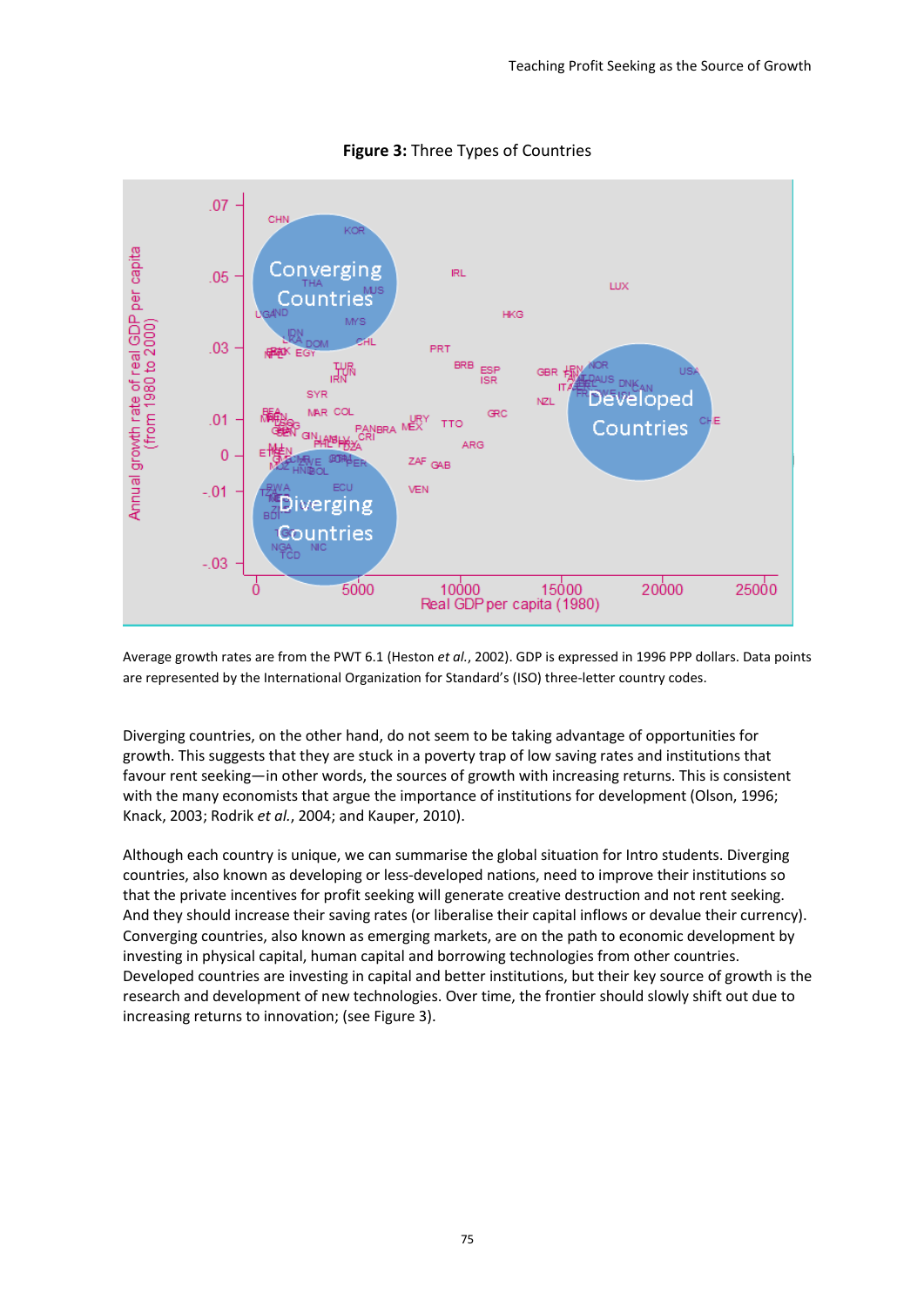

**Figure 3:** Three Types of Countries

Average growth rates are from the PWT 6.1 (Heston *et al.*, 2002). GDP is expressed in 1996 PPP dollars. Data points are represented by the International Organization for Standard's (ISO) three-letter country codes.

Diverging countries, on the other hand, do not seem to be taking advantage of opportunities for growth. This suggests that they are stuck in a poverty trap of low saving rates and institutions that favour rent seeking—in other words, the sources of growth with increasing returns. This is consistent with the many economists that argue the importance of institutions for development (Olson, 1996; Knack, 2003; Rodrik *et al.*, 2004; and Kauper, 2010).

Although each country is unique, we can summarise the global situation for Intro students. Diverging countries, also known as developing or less-developed nations, need to improve their institutions so that the private incentives for profit seeking will generate creative destruction and not rent seeking. And they should increase their saving rates (or liberalise their capital inflows or devalue their currency). Converging countries, also known as emerging markets, are on the path to economic development by investing in physical capital, human capital and borrowing technologies from other countries. Developed countries are investing in capital and better institutions, but their key source of growth is the research and development of new technologies. Over time, the frontier should slowly shift out due to increasing returns to innovation; (see Figure 3).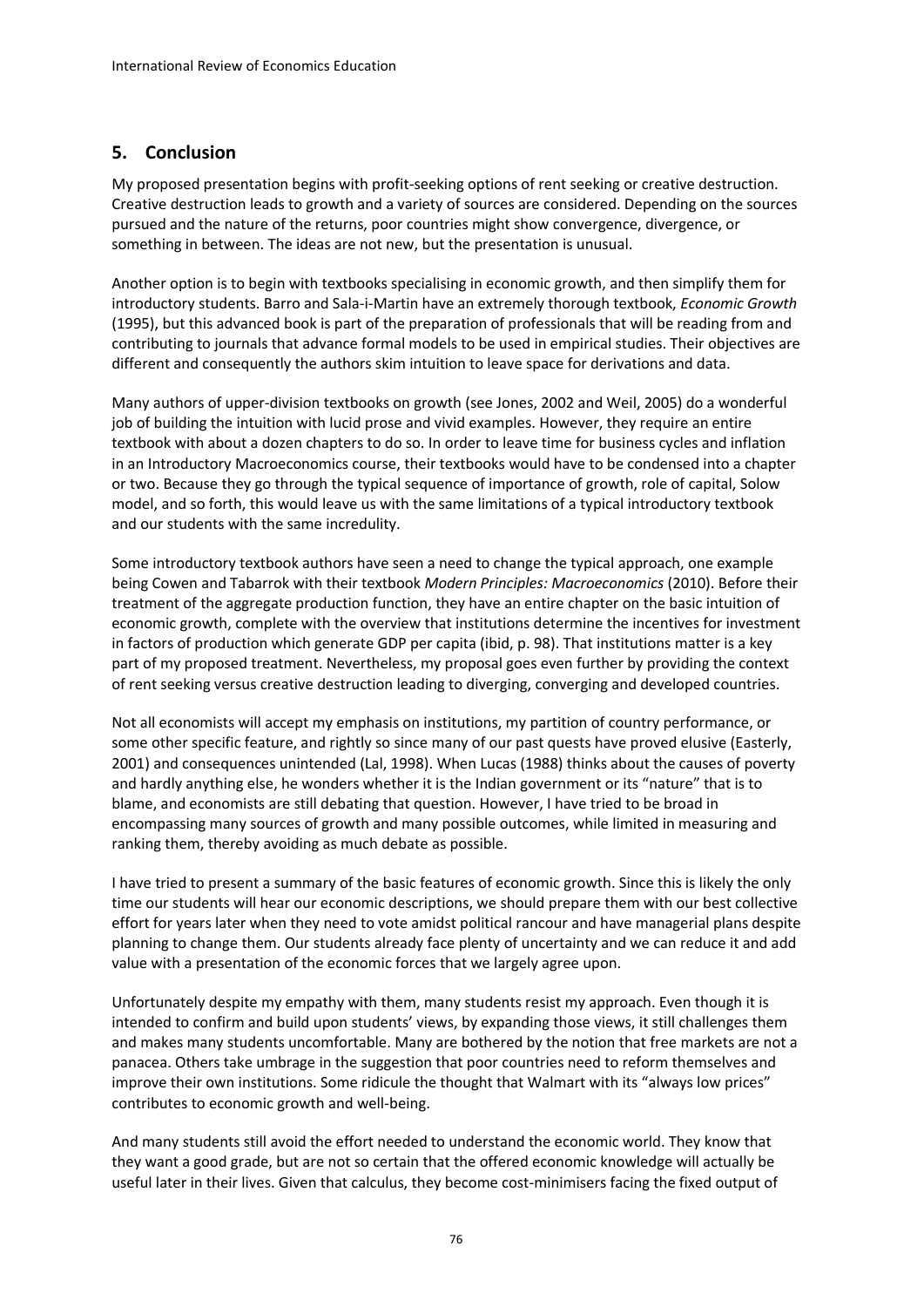# **5. Conclusion**

My proposed presentation begins with profit-seeking options of rent seeking or creative destruction. Creative destruction leads to growth and a variety of sources are considered. Depending on the sources pursued and the nature of the returns, poor countries might show convergence, divergence, or something in between. The ideas are not new, but the presentation is unusual.

Another option is to begin with textbooks specialising in economic growth, and then simplify them for introductory students. Barro and Sala-i-Martin have an extremely thorough textbook, *Economic Growth* (1995), but this advanced book is part of the preparation of professionals that will be reading from and contributing to journals that advance formal models to be used in empirical studies. Their objectives are different and consequently the authors skim intuition to leave space for derivations and data.

Many authors of upper-division textbooks on growth (see Jones, 2002 and Weil, 2005) do a wonderful job of building the intuition with lucid prose and vivid examples. However, they require an entire textbook with about a dozen chapters to do so. In order to leave time for business cycles and inflation in an Introductory Macroeconomics course, their textbooks would have to be condensed into a chapter or two. Because they go through the typical sequence of importance of growth, role of capital, Solow model, and so forth, this would leave us with the same limitations of a typical introductory textbook and our students with the same incredulity.

Some introductory textbook authors have seen a need to change the typical approach, one example being Cowen and Tabarrok with their textbook *Modern Principles: Macroeconomics* (2010). Before their treatment of the aggregate production function, they have an entire chapter on the basic intuition of economic growth, complete with the overview that institutions determine the incentives for investment in factors of production which generate GDP per capita (ibid, p. 98). That institutions matter is a key part of my proposed treatment. Nevertheless, my proposal goes even further by providing the context of rent seeking versus creative destruction leading to diverging, converging and developed countries.

Not all economists will accept my emphasis on institutions, my partition of country performance, or some other specific feature, and rightly so since many of our past quests have proved elusive (Easterly, 2001) and consequences unintended (Lal, 1998). When Lucas (1988) thinks about the causes of poverty and hardly anything else, he wonders whether it is the Indian government or its "nature" that is to blame, and economists are still debating that question. However, I have tried to be broad in encompassing many sources of growth and many possible outcomes, while limited in measuring and ranking them, thereby avoiding as much debate as possible.

I have tried to present a summary of the basic features of economic growth. Since this is likely the only time our students will hear our economic descriptions, we should prepare them with our best collective effort for years later when they need to vote amidst political rancour and have managerial plans despite planning to change them. Our students already face plenty of uncertainty and we can reduce it and add value with a presentation of the economic forces that we largely agree upon.

Unfortunately despite my empathy with them, many students resist my approach. Even though it is intended to confirm and build upon students' views, by expanding those views, it still challenges them and makes many students uncomfortable. Many are bothered by the notion that free markets are not a panacea. Others take umbrage in the suggestion that poor countries need to reform themselves and improve their own institutions. Some ridicule the thought that Walmart with its "always low prices" contributes to economic growth and well-being.

And many students still avoid the effort needed to understand the economic world. They know that they want a good grade, but are not so certain that the offered economic knowledge will actually be useful later in their lives. Given that calculus, they become cost-minimisers facing the fixed output of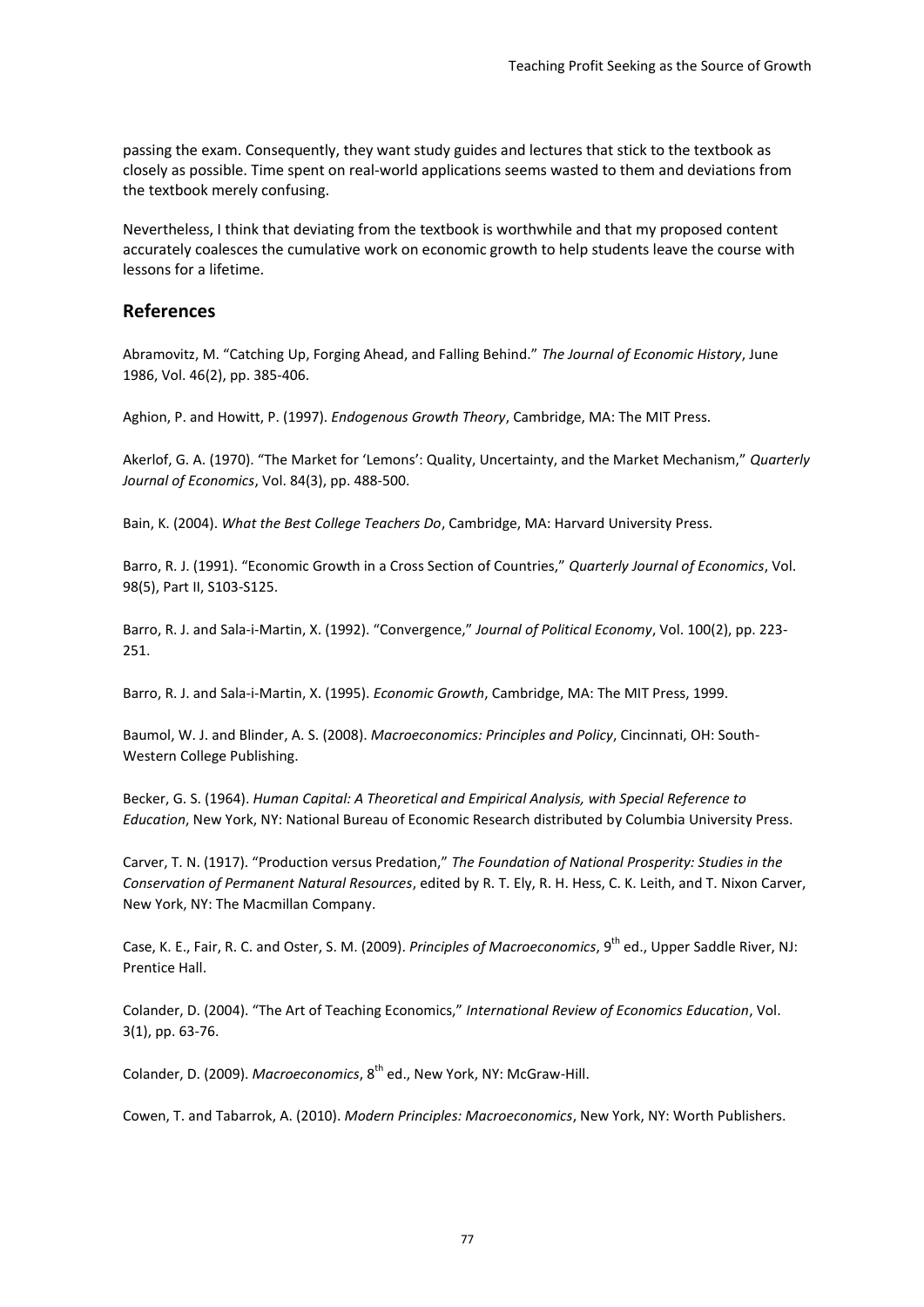passing the exam. Consequently, they want study guides and lectures that stick to the textbook as closely as possible. Time spent on real-world applications seems wasted to them and deviations from the textbook merely confusing.

Nevertheless, I think that deviating from the textbook is worthwhile and that my proposed content accurately coalesces the cumulative work on economic growth to help students leave the course with lessons for a lifetime.

## **References**

Abramovitz, M. "Catching Up, Forging Ahead, and Falling Behind." *The Journal of Economic History*, June 1986, Vol. 46(2), pp. 385-406.

Aghion, P. and Howitt, P. (1997). *Endogenous Growth Theory*, Cambridge, MA: The MIT Press.

Akerlof, G. A. (1970). "The Market for 'Lemons': Quality, Uncertainty, and the Market Mechanism," *Quarterly Journal of Economics*, Vol. 84(3), pp. 488-500.

Bain, K. (2004). *What the Best College Teachers Do*, Cambridge, MA: Harvard University Press.

Barro, R. J. (1991). "Economic Growth in a Cross Section of Countries," *Quarterly Journal of Economics*, Vol. 98(5), Part II, S103-S125.

Barro, R. J. and Sala-i-Martin, X. (1992). "Convergence," *Journal of Political Economy*, Vol. 100(2), pp. 223- 251.

Barro, R. J. and Sala-i-Martin, X. (1995). *Economic Growth*, Cambridge, MA: The MIT Press, 1999.

Baumol, W. J. and Blinder, A. S. (2008). *Macroeconomics: Principles and Policy*, Cincinnati, OH: South-Western College Publishing.

Becker, G. S. (1964). *Human Capital: A Theoretical and Empirical Analysis, with Special Reference to Education*, New York, NY: National Bureau of Economic Research distributed by Columbia University Press.

Carver, T. N. (1917). "Production versus Predation," *The Foundation of National Prosperity: Studies in the Conservation of Permanent Natural Resources*, edited by R. T. Ely, R. H. Hess, C. K. Leith, and T. Nixon Carver, New York, NY: The Macmillan Company.

Case, K. E., Fair, R. C. and Oster, S. M. (2009). *Principles of Macroeconomics*, 9<sup>th</sup> ed., Upper Saddle River, NJ: Prentice Hall.

Colander, D. (2004). "The Art of Teaching Economics," *International Review of Economics Education*, Vol. 3(1), pp. 63-76.

Colander, D. (2009). *Macroeconomics*, 8<sup>th</sup> ed., New York, NY: McGraw-Hill.

Cowen, T. and Tabarrok, A. (2010). *Modern Principles: Macroeconomics*, New York, NY: Worth Publishers.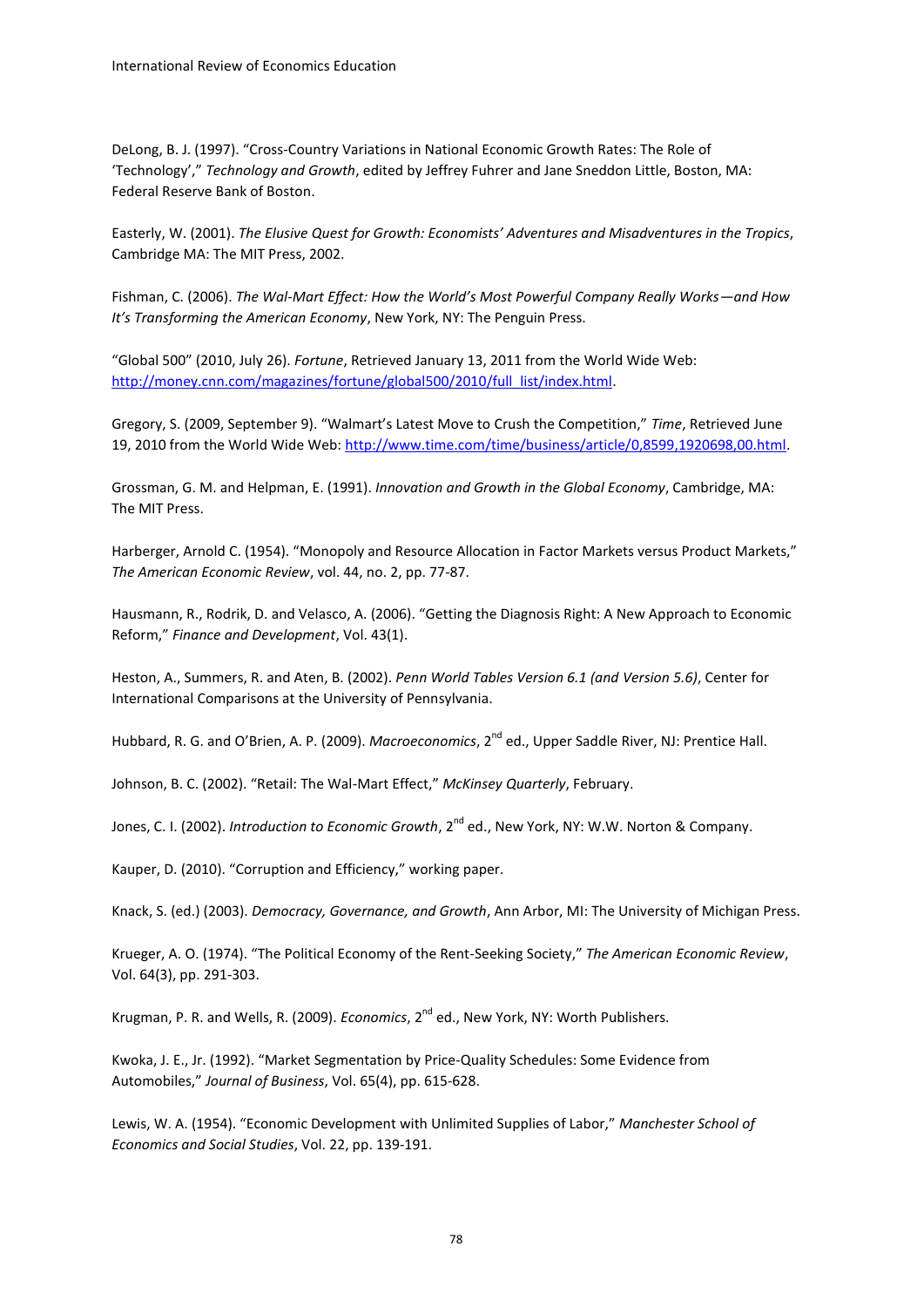DeLong, B. J. (1997). "Cross-Country Variations in National Economic Growth Rates: The Role of 'Technology'," *Technology and Growth*, edited by Jeffrey Fuhrer and Jane Sneddon Little, Boston, MA: Federal Reserve Bank of Boston.

Easterly, W. (2001). *The Elusive Quest for Growth: Economists' Adventures and Misadventures in the Tropics*, Cambridge MA: The MIT Press, 2002.

Fishman, C. (2006). *The Wal-Mart Effect: How the World's Most Powerful Company Really Works—and How It's Transforming the American Economy*, New York, NY: The Penguin Press.

"Global 500" (2010, July 26). *Fortune*, Retrieved January 13, 2011 from the World Wide Web: [http://money.cnn.com/magazines/fortune/global500/2010/full\\_list/index.html.](http://money.cnn.com/magazines/fortune/global500/2010/full_list/index.html)

Gregory, S. (2009, September 9). "Walmart's Latest Move to Crush the Competition," *Time*, Retrieved June 19, 2010 from the World Wide Web[: http://www.time.com/time/business/article/0,8599,1920698,00.html.](http://www.time.com/time/business/article/0,8599,1920698,00.html)

Grossman, G. M. and Helpman, E. (1991). *Innovation and Growth in the Global Economy*, Cambridge, MA: The MIT Press.

Harberger, Arnold C. (1954). "Monopoly and Resource Allocation in Factor Markets versus Product Markets," *The American Economic Review*, vol. 44, no. 2, pp. 77-87.

Hausmann, R., Rodrik, D. and Velasco, A. (2006). "Getting the Diagnosis Right: A New Approach to Economic Reform," *Finance and Development*, Vol. 43(1).

Heston, A., Summers, R. and Aten, B. (2002). *Penn World Tables Version 6.1 (and Version 5.6)*, Center for International Comparisons at the University of Pennsylvania.

Hubbard, R. G. and O'Brien, A. P. (2009). *Macroeconomics*, 2<sup>nd</sup> ed., Upper Saddle River, NJ: Prentice Hall.

Johnson, B. C. (2002). "Retail: The Wal-Mart Effect," *McKinsey Quarterly*, February.

Jones, C. I. (2002). *Introduction to Economic Growth*, 2<sup>nd</sup> ed., New York, NY: W.W. Norton & Company.

Kauper, D. (2010). "Corruption and Efficiency," working paper.

Knack, S. (ed.) (2003). *Democracy, Governance, and Growth*, Ann Arbor, MI: The University of Michigan Press.

Krueger, A. O. (1974). "The Political Economy of the Rent-Seeking Society," *The American Economic Review*, Vol. 64(3), pp. 291-303.

Krugman, P. R. and Wells, R. (2009). *Economics*, 2nd ed., New York, NY: Worth Publishers.

Kwoka, J. E., Jr. (1992). "Market Segmentation by Price-Quality Schedules: Some Evidence from Automobiles," *Journal of Business*, Vol. 65(4), pp. 615-628.

Lewis, W. A. (1954). "Economic Development with Unlimited Supplies of Labor," *Manchester School of Economics and Social Studies*, Vol. 22, pp. 139-191.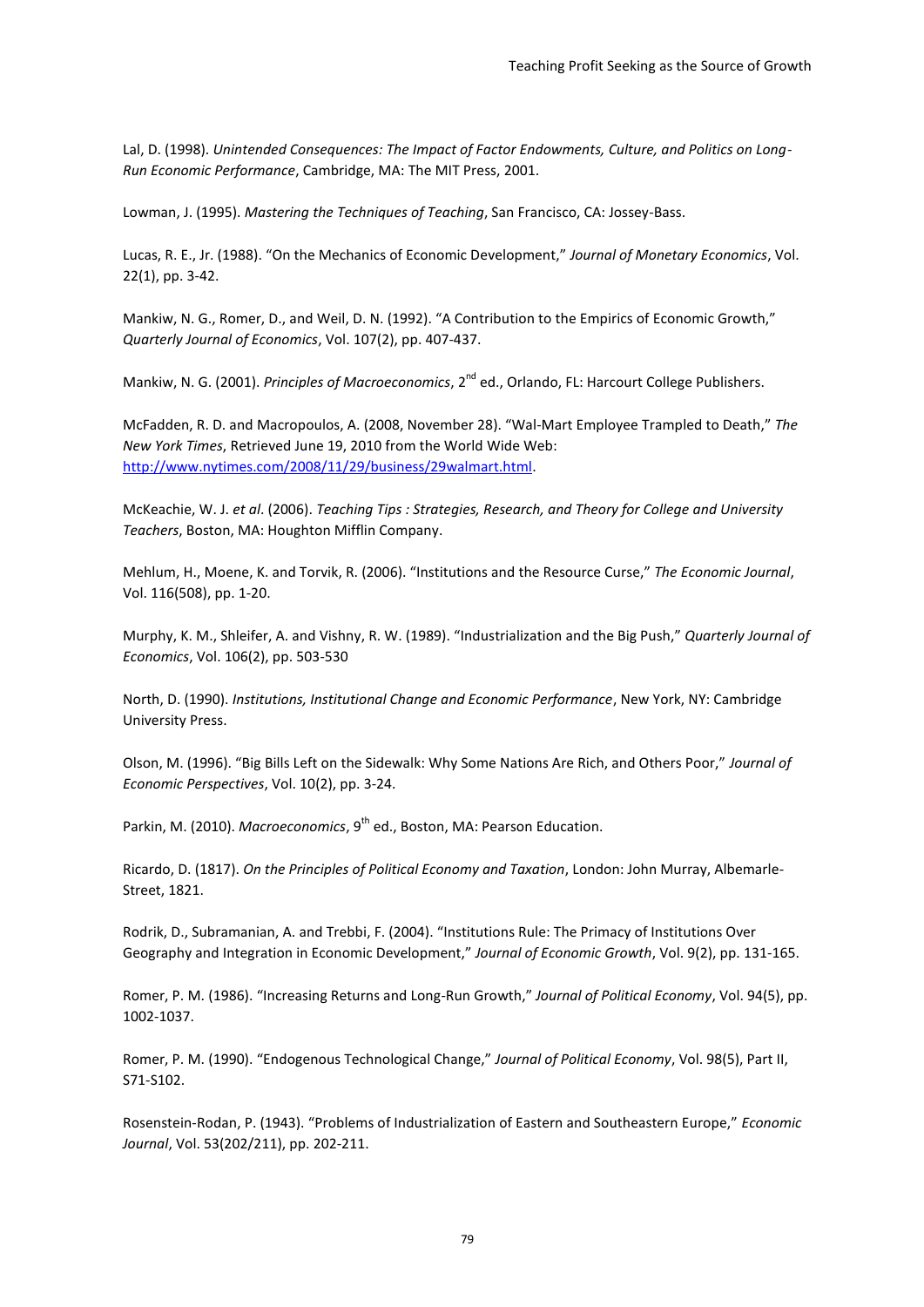Lal, D. (1998). *Unintended Consequences: The Impact of Factor Endowments, Culture, and Politics on Long-Run Economic Performance*, Cambridge, MA: The MIT Press, 2001.

Lowman, J. (1995). *Mastering the Techniques of Teaching*, San Francisco, CA: Jossey-Bass.

Lucas, R. E., Jr. (1988). "On the Mechanics of Economic Development," *Journal of Monetary Economics*, Vol. 22(1), pp. 3-42.

Mankiw, N. G., Romer, D., and Weil, D. N. (1992). "A Contribution to the Empirics of Economic Growth," *Quarterly Journal of Economics*, Vol. 107(2), pp. 407-437.

Mankiw, N. G. (2001). *Principles of Macroeconomics*, 2<sup>nd</sup> ed., Orlando, FL: Harcourt College Publishers.

McFadden, R. D. and Macropoulos, A. (2008, November 28). "Wal-Mart Employee Trampled to Death," *The New York Times*, Retrieved June 19, 2010 from the World Wide Web: [http://www.nytimes.com/2008/11/29/business/29walmart.html.](http://www.nytimes.com/2008/11/29/business/29walmart.html)

McKeachie, W. J. *et al*. (2006). *Teaching Tips : Strategies, Research, and Theory for College and University Teachers*, Boston, MA: Houghton Mifflin Company.

Mehlum, H., Moene, K. and Torvik, R. (2006). "Institutions and the Resource Curse," *The Economic Journal*, Vol. 116(508), pp. 1-20.

Murphy, K. M., Shleifer, A. and Vishny, R. W. (1989). "Industrialization and the Big Push," *Quarterly Journal of Economics*, Vol. 106(2), pp. 503-530

North, D. (1990). *Institutions, Institutional Change and Economic Performance*, New York, NY: Cambridge University Press.

Olson, M. (1996). "Big Bills Left on the Sidewalk: Why Some Nations Are Rich, and Others Poor," *Journal of Economic Perspectives*, Vol. 10(2), pp. 3-24.

Parkin, M. (2010). *Macroeconomics*, 9<sup>th</sup> ed., Boston, MA: Pearson Education.

Ricardo, D. (1817). *On the Principles of Political Economy and Taxation*, London: John Murray, Albemarle-Street, 1821.

Rodrik, D., Subramanian, A. and Trebbi, F. (2004). "Institutions Rule: The Primacy of Institutions Over Geography and Integration in Economic Development," *Journal of Economic Growth*, Vol. 9(2), pp. 131-165.

Romer, P. M. (1986). "Increasing Returns and Long-Run Growth," *Journal of Political Economy*, Vol. 94(5), pp. 1002-1037.

Romer, P. M. (1990). "Endogenous Technological Change," *Journal of Political Economy*, Vol. 98(5), Part II, S71-S102.

Rosenstein-Rodan, P. (1943). "Problems of Industrialization of Eastern and Southeastern Europe," *Economic Journal*, Vol. 53(202/211), pp. 202-211.